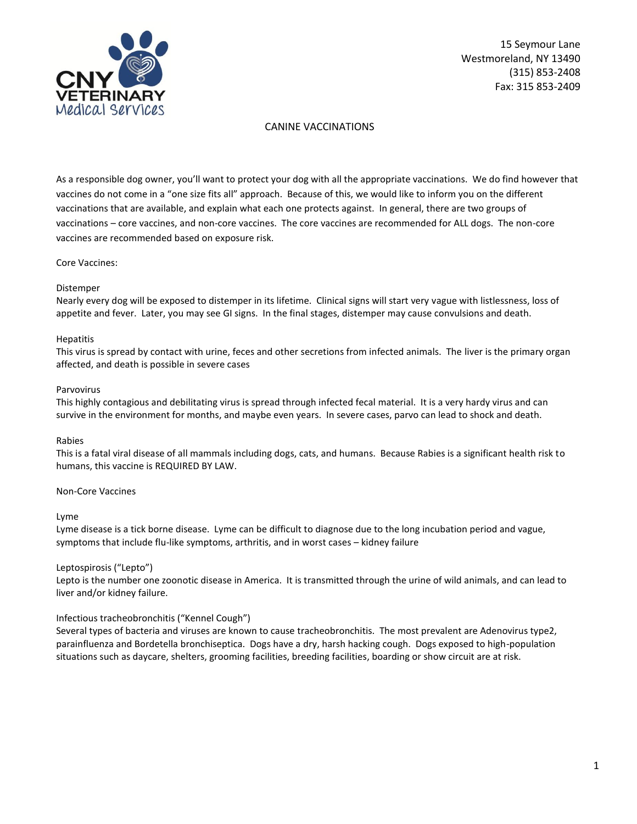

### CANINE VACCINATIONS

As a responsible dog owner, you'll want to protect your dog with all the appropriate vaccinations. We do find however that vaccines do not come in a "one size fits all" approach. Because of this, we would like to inform you on the different vaccinations that are available, and explain what each one protects against. In general, there are two groups of vaccinations – core vaccines, and non-core vaccines. The core vaccines are recommended for ALL dogs. The non-core vaccines are recommended based on exposure risk.

Core Vaccines:

#### Distemper

Nearly every dog will be exposed to distemper in its lifetime. Clinical signs will start very vague with listlessness, loss of appetite and fever. Later, you may see GI signs. In the final stages, distemper may cause convulsions and death.

#### Hepatitis

This virus is spread by contact with urine, feces and other secretions from infected animals. The liver is the primary organ affected, and death is possible in severe cases

#### Parvovirus

This highly contagious and debilitating virus is spread through infected fecal material. It is a very hardy virus and can survive in the environment for months, and maybe even years. In severe cases, parvo can lead to shock and death.

#### Rabies

This is a fatal viral disease of all mammals including dogs, cats, and humans. Because Rabies is a significant health risk to humans, this vaccine is REQUIRED BY LAW.

### Non-Core Vaccines

#### Lyme

Lyme disease is a tick borne disease. Lyme can be difficult to diagnose due to the long incubation period and vague, symptoms that include flu-like symptoms, arthritis, and in worst cases – kidney failure

### Leptospirosis ("Lepto")

Lepto is the number one zoonotic disease in America. It is transmitted through the urine of wild animals, and can lead to liver and/or kidney failure.

### Infectious tracheobronchitis ("Kennel Cough")

Several types of bacteria and viruses are known to cause tracheobronchitis. The most prevalent are Adenovirus type2, parainfluenza and Bordetella bronchiseptica. Dogs have a dry, harsh hacking cough. Dogs exposed to high-population situations such as daycare, shelters, grooming facilities, breeding facilities, boarding or show circuit are at risk.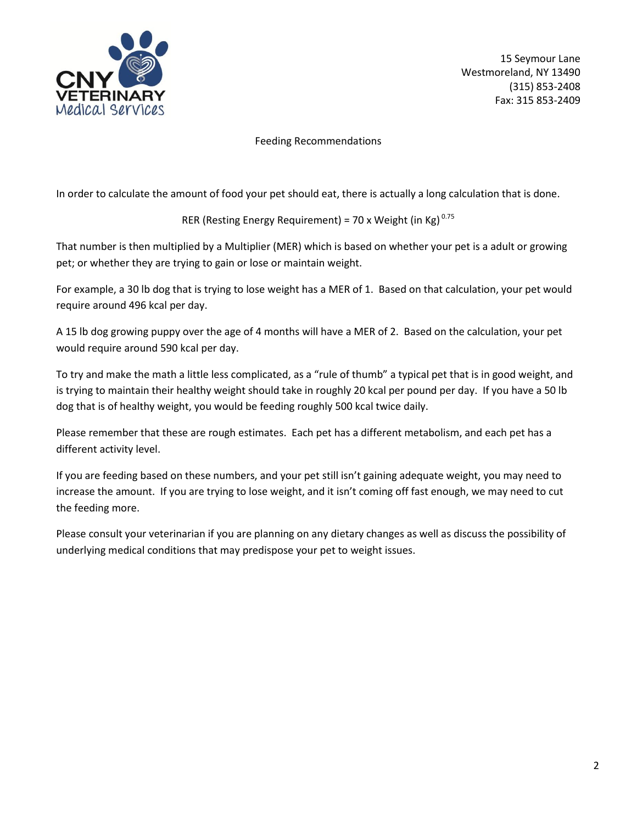

Feeding Recommendations

In order to calculate the amount of food your pet should eat, there is actually a long calculation that is done.

RER (Resting Energy Requirement) = 70 x Weight (in Kg)  $^{0.75}$ 

That number is then multiplied by a Multiplier (MER) which is based on whether your pet is a adult or growing pet; or whether they are trying to gain or lose or maintain weight.

For example, a 30 lb dog that is trying to lose weight has a MER of 1. Based on that calculation, your pet would require around 496 kcal per day.

A 15 lb dog growing puppy over the age of 4 months will have a MER of 2. Based on the calculation, your pet would require around 590 kcal per day.

To try and make the math a little less complicated, as a "rule of thumb" a typical pet that is in good weight, and is trying to maintain their healthy weight should take in roughly 20 kcal per pound per day. If you have a 50 lb dog that is of healthy weight, you would be feeding roughly 500 kcal twice daily.

Please remember that these are rough estimates. Each pet has a different metabolism, and each pet has a different activity level.

If you are feeding based on these numbers, and your pet still isn't gaining adequate weight, you may need to increase the amount. If you are trying to lose weight, and it isn't coming off fast enough, we may need to cut the feeding more.

Please consult your veterinarian if you are planning on any dietary changes as well as discuss the possibility of underlying medical conditions that may predispose your pet to weight issues.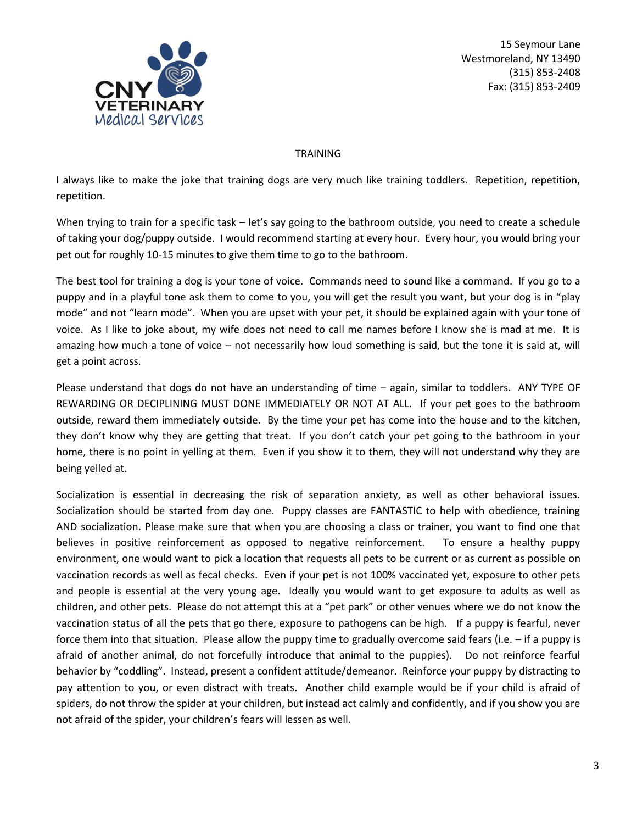

### TRAINING

I always like to make the joke that training dogs are very much like training toddlers. Repetition, repetition, repetition.

When trying to train for a specific task – let's say going to the bathroom outside, you need to create a schedule of taking your dog/puppy outside. I would recommend starting at every hour. Every hour, you would bring your pet out for roughly 10-15 minutes to give them time to go to the bathroom.

The best tool for training a dog is your tone of voice. Commands need to sound like a command. If you go to a puppy and in a playful tone ask them to come to you, you will get the result you want, but your dog is in "play mode" and not "learn mode". When you are upset with your pet, it should be explained again with your tone of voice. As I like to joke about, my wife does not need to call me names before I know she is mad at me. It is amazing how much a tone of voice – not necessarily how loud something is said, but the tone it is said at, will get a point across.

Please understand that dogs do not have an understanding of time – again, similar to toddlers. ANY TYPE OF REWARDING OR DECIPLINING MUST DONE IMMEDIATELY OR NOT AT ALL. If your pet goes to the bathroom outside, reward them immediately outside. By the time your pet has come into the house and to the kitchen, they don't know why they are getting that treat. If you don't catch your pet going to the bathroom in your home, there is no point in yelling at them. Even if you show it to them, they will not understand why they are being yelled at.

Socialization is essential in decreasing the risk of separation anxiety, as well as other behavioral issues. Socialization should be started from day one. Puppy classes are FANTASTIC to help with obedience, training AND socialization. Please make sure that when you are choosing a class or trainer, you want to find one that believes in positive reinforcement as opposed to negative reinforcement. To ensure a healthy puppy environment, one would want to pick a location that requests all pets to be current or as current as possible on vaccination records as well as fecal checks. Even if your pet is not 100% vaccinated yet, exposure to other pets and people is essential at the very young age. Ideally you would want to get exposure to adults as well as children, and other pets. Please do not attempt this at a "pet park" or other venues where we do not know the vaccination status of all the pets that go there, exposure to pathogens can be high. If a puppy is fearful, never force them into that situation. Please allow the puppy time to gradually overcome said fears (i.e. – if a puppy is afraid of another animal, do not forcefully introduce that animal to the puppies). Do not reinforce fearful behavior by "coddling". Instead, present a confident attitude/demeanor. Reinforce your puppy by distracting to pay attention to you, or even distract with treats. Another child example would be if your child is afraid of spiders, do not throw the spider at your children, but instead act calmly and confidently, and if you show you are not afraid of the spider, your children's fears will lessen as well.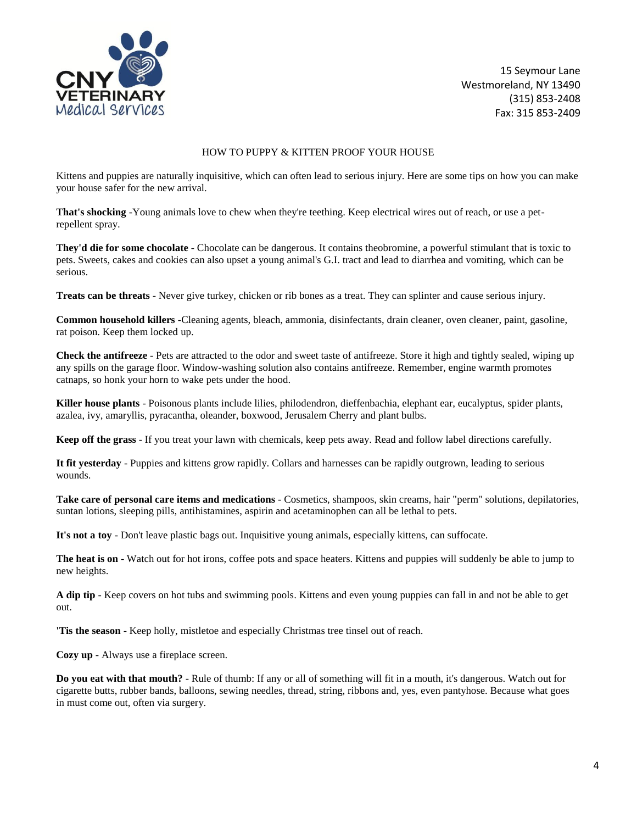

#### HOW TO PUPPY & KITTEN PROOF YOUR HOUSE

Kittens and puppies are naturally inquisitive, which can often lead to serious injury. Here are some tips on how you can make your house safer for the new arrival.

**That's shocking** -Young animals love to chew when they're teething. Keep electrical wires out of reach, or use a petrepellent spray.

**They'd die for some chocolate** - Chocolate can be dangerous. It contains theobromine, a powerful stimulant that is toxic to pets. Sweets, cakes and cookies can also upset a young animal's G.I. tract and lead to diarrhea and vomiting, which can be serious.

**Treats can be threats** - Never give turkey, chicken or rib bones as a treat. They can splinter and cause serious injury.

**Common household killers** -Cleaning agents, bleach, ammonia, disinfectants, drain cleaner, oven cleaner, paint, gasoline, rat poison. Keep them locked up.

**Check the antifreeze** - Pets are attracted to the odor and sweet taste of antifreeze. Store it high and tightly sealed, wiping up any spills on the garage floor. Window-washing solution also contains antifreeze. Remember, engine warmth promotes catnaps, so honk your horn to wake pets under the hood.

**Killer house plants** - Poisonous plants include lilies, philodendron, dieffenbachia, elephant ear, eucalyptus, spider plants, azalea, ivy, amaryllis, pyracantha, oleander, boxwood, Jerusalem Cherry and plant bulbs.

**Keep off the grass** - If you treat your lawn with chemicals, keep pets away. Read and follow label directions carefully.

**It fit yesterday** - Puppies and kittens grow rapidly. Collars and harnesses can be rapidly outgrown, leading to serious wounds.

**Take care of personal care items and medications** - Cosmetics, shampoos, skin creams, hair "perm" solutions, depilatories, suntan lotions, sleeping pills, antihistamines, aspirin and acetaminophen can all be lethal to pets.

**It's not a toy** - Don't leave plastic bags out. Inquisitive young animals, especially kittens, can suffocate.

**The heat is on** - Watch out for hot irons, coffee pots and space heaters. Kittens and puppies will suddenly be able to jump to new heights.

**A dip tip** - Keep covers on hot tubs and swimming pools. Kittens and even young puppies can fall in and not be able to get out.

**'Tis the season** - Keep holly, mistletoe and especially Christmas tree tinsel out of reach.

**Cozy up** - Always use a fireplace screen.

**Do you eat with that mouth?** - Rule of thumb: If any or all of something will fit in a mouth, it's dangerous. Watch out for cigarette butts, rubber bands, balloons, sewing needles, thread, string, ribbons and, yes, even pantyhose. Because what goes in must come out, often via surgery.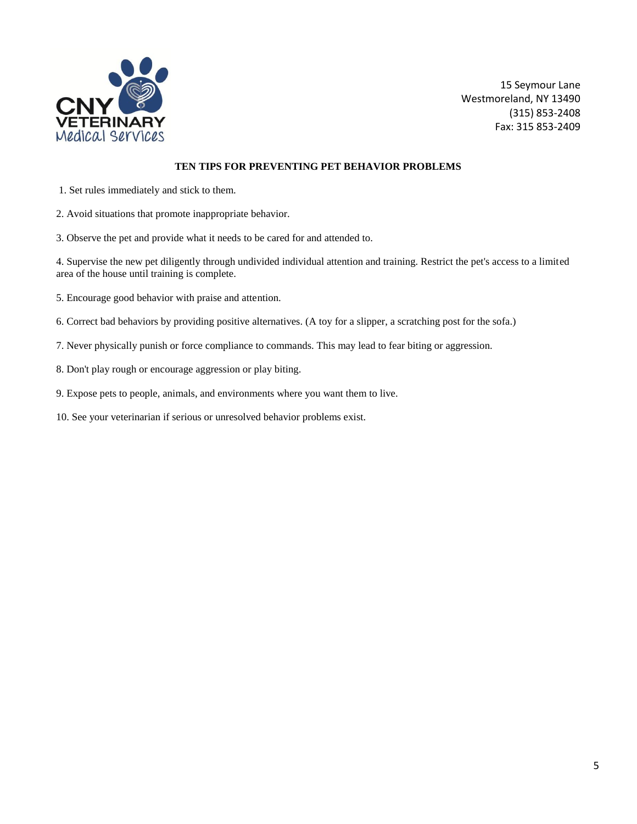

### **TEN TIPS FOR PREVENTING PET BEHAVIOR PROBLEMS**

- 1. Set rules immediately and stick to them.
- 2. Avoid situations that promote inappropriate behavior.
- 3. Observe the pet and provide what it needs to be cared for and attended to.

4. Supervise the new pet diligently through undivided individual attention and training. Restrict the pet's access to a limited area of the house until training is complete.

- 5. Encourage good behavior with praise and attention.
- 6. Correct bad behaviors by providing positive alternatives. (A toy for a slipper, a scratching post for the sofa.)
- 7. Never physically punish or force compliance to commands. This may lead to fear biting or aggression.
- 8. Don't play rough or encourage aggression or play biting.
- 9. Expose pets to people, animals, and environments where you want them to live.
- 10. See your veterinarian if serious or unresolved behavior problems exist.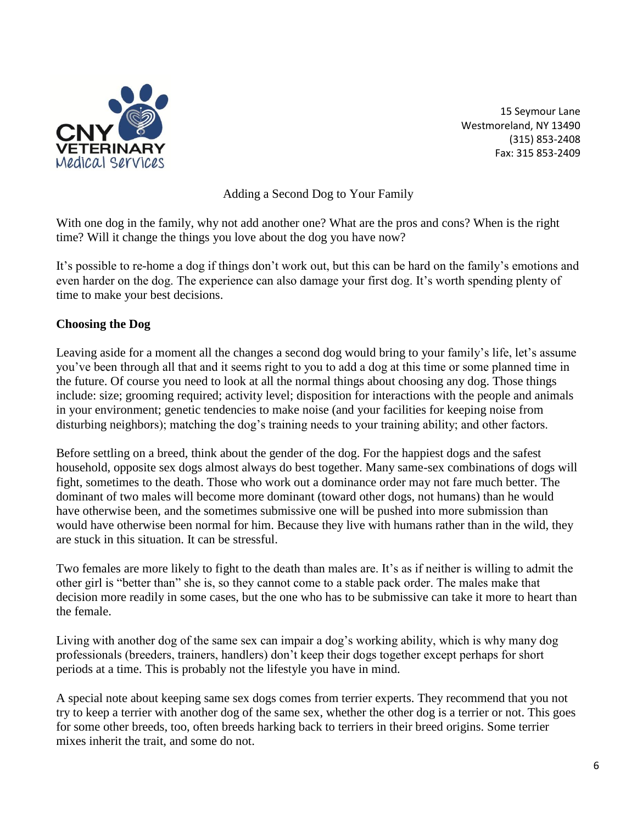

Adding a Second Dog to Your Family

With one dog in the family, why not add another one? What are the pros and cons? When is the right time? Will it change the things you love about the dog you have now?

It's possible to re-home a dog if things don't work out, but this can be hard on the family's emotions and even harder on the dog. The experience can also damage your first dog. It's worth spending plenty of time to make your best decisions.

# **Choosing the Dog**

Leaving aside for a moment all the changes a second dog would bring to your family's life, let's assume you've been through all that and it seems right to you to add a dog at this time or some planned time in the future. Of course you need to look at all the normal things about choosing any dog. Those things include: size; grooming required; activity level; disposition for interactions with the people and animals in your environment; genetic tendencies to make noise (and your facilities for keeping noise from disturbing neighbors); matching the dog's training needs to your training ability; and other factors.

Before settling on a breed, think about the gender of the dog. For the happiest dogs and the safest household, opposite sex dogs almost always do best together. Many same-sex combinations of dogs will fight, sometimes to the death. Those who work out a dominance order may not fare much better. The dominant of two males will become more dominant (toward other dogs, not humans) than he would have otherwise been, and the sometimes submissive one will be pushed into more submission than would have otherwise been normal for him. Because they live with humans rather than in the wild, they are stuck in this situation. It can be stressful.

Two females are more likely to fight to the death than males are. It's as if neither is willing to admit the other girl is "better than" she is, so they cannot come to a stable pack order. The males make that decision more readily in some cases, but the one who has to be submissive can take it more to heart than the female.

Living with another dog of the same sex can impair a dog's working ability, which is why many dog professionals (breeders, trainers, handlers) don't keep their dogs together except perhaps for short periods at a time. This is probably not the lifestyle you have in mind.

A special note about keeping same sex dogs comes from terrier experts. They recommend that you not try to keep a terrier with another dog of the same sex, whether the other dog is a terrier or not. This goes for some other breeds, too, often breeds harking back to terriers in their breed origins. Some terrier mixes inherit the trait, and some do not.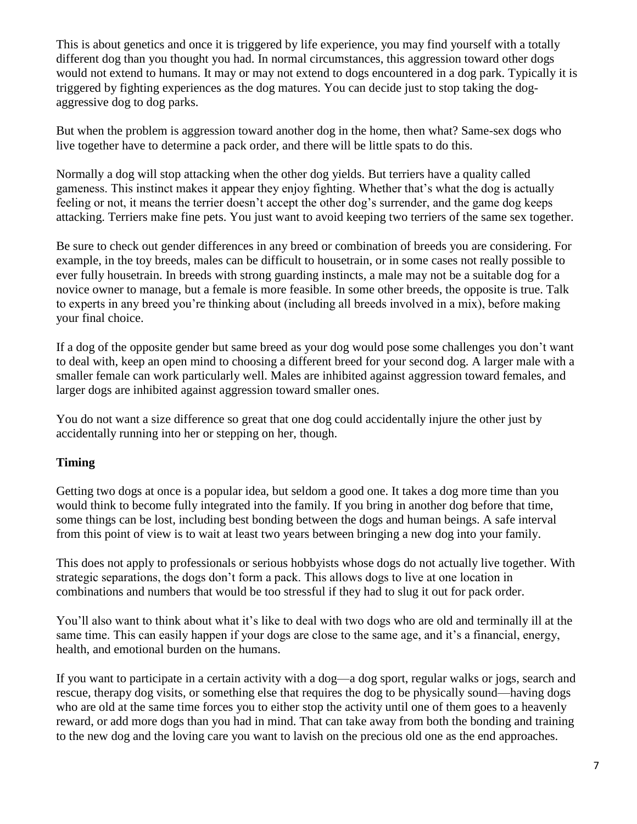This is about genetics and once it is triggered by life experience, you may find yourself with a totally different dog than you thought you had. In normal circumstances, this aggression toward other dogs would not extend to humans. It may or may not extend to dogs encountered in a dog park. Typically it is triggered by fighting experiences as the dog matures. You can decide just to stop taking the dogaggressive dog to dog parks.

But when the problem is aggression toward another dog in the home, then what? Same-sex dogs who live together have to determine a pack order, and there will be little spats to do this.

Normally a dog will stop attacking when the other dog yields. But terriers have a quality called gameness. This instinct makes it appear they enjoy fighting. Whether that's what the dog is actually feeling or not, it means the terrier doesn't accept the other dog's surrender, and the game dog keeps attacking. Terriers make fine pets. You just want to avoid keeping two terriers of the same sex together.

Be sure to check out gender differences in any breed or combination of breeds you are considering. For example, in the toy breeds, males can be difficult to housetrain, or in some cases not really possible to ever fully housetrain. In breeds with strong guarding instincts, a male may not be a suitable dog for a novice owner to manage, but a female is more feasible. In some other breeds, the opposite is true. Talk to experts in any breed you're thinking about (including all breeds involved in a mix), before making your final choice.

If a dog of the opposite gender but same breed as your dog would pose some challenges you don't want to deal with, keep an open mind to choosing a different breed for your second dog. A larger male with a smaller female can work particularly well. Males are inhibited against aggression toward females, and larger dogs are inhibited against aggression toward smaller ones.

You do not want a size difference so great that one dog could accidentally injure the other just by accidentally running into her or stepping on her, though.

# **Timing**

Getting two dogs at once is a popular idea, but seldom a good one. It takes a dog more time than you would think to become fully integrated into the family. If you bring in another dog before that time, some things can be lost, including best bonding between the dogs and human beings. A safe interval from this point of view is to wait at least two years between bringing a new dog into your family.

This does not apply to professionals or serious hobbyists whose dogs do not actually live together. With strategic separations, the dogs don't form a pack. This allows dogs to live at one location in combinations and numbers that would be too stressful if they had to slug it out for pack order.

You'll also want to think about what it's like to deal with two dogs who are old and terminally ill at the same time. This can easily happen if your dogs are close to the same age, and it's a financial, energy, health, and emotional burden on the humans.

If you want to participate in a certain activity with a dog—a dog sport, regular walks or jogs, search and rescue, therapy dog visits, or something else that requires the dog to be physically sound—having dogs who are old at the same time forces you to either stop the activity until one of them goes to a heavenly reward, or add more dogs than you had in mind. That can take away from both the bonding and training to the new dog and the loving care you want to lavish on the precious old one as the end approaches.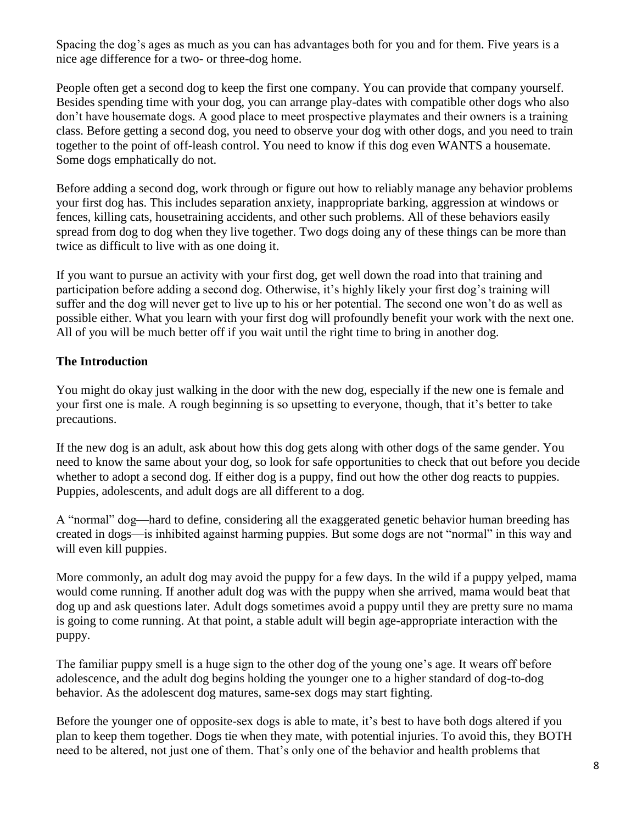Spacing the dog's ages as much as you can has advantages both for you and for them. Five years is a nice age difference for a two- or three-dog home.

People often get a second dog to keep the first one company. You can provide that company yourself. Besides spending time with your dog, you can arrange play-dates with compatible other dogs who also don't have housemate dogs. A good place to meet prospective playmates and their owners is a training class. Before getting a second dog, you need to observe your dog with other dogs, and you need to train together to the point of off-leash control. You need to know if this dog even WANTS a housemate. Some dogs emphatically do not.

Before adding a second dog, work through or figure out how to reliably manage any behavior problems your first dog has. This includes separation anxiety, inappropriate barking, aggression at windows or fences, killing cats, housetraining accidents, and other such problems. All of these behaviors easily spread from dog to dog when they live together. Two dogs doing any of these things can be more than twice as difficult to live with as one doing it.

If you want to pursue an activity with your first dog, get well down the road into that training and participation before adding a second dog. Otherwise, it's highly likely your first dog's training will suffer and the dog will never get to live up to his or her potential. The second one won't do as well as possible either. What you learn with your first dog will profoundly benefit your work with the next one. All of you will be much better off if you wait until the right time to bring in another dog.

# **The Introduction**

You might do okay just walking in the door with the new dog, especially if the new one is female and your first one is male. A rough beginning is so upsetting to everyone, though, that it's better to take precautions.

If the new dog is an adult, ask about how this dog gets along with other dogs of the same gender. You need to know the same about your dog, so look for safe opportunities to check that out before you decide whether to adopt a second dog. If either dog is a puppy, find out how the other dog reacts to puppies. Puppies, adolescents, and adult dogs are all different to a dog.

A "normal" dog—hard to define, considering all the exaggerated genetic behavior human breeding has created in dogs—is inhibited against harming puppies. But some dogs are not "normal" in this way and will even kill puppies.

More commonly, an adult dog may avoid the puppy for a few days. In the wild if a puppy yelped, mama would come running. If another adult dog was with the puppy when she arrived, mama would beat that dog up and ask questions later. Adult dogs sometimes avoid a puppy until they are pretty sure no mama is going to come running. At that point, a stable adult will begin age-appropriate interaction with the puppy.

The familiar puppy smell is a huge sign to the other dog of the young one's age. It wears off before adolescence, and the adult dog begins holding the younger one to a higher standard of dog-to-dog behavior. As the adolescent dog matures, same-sex dogs may start fighting.

Before the younger one of opposite-sex dogs is able to mate, it's best to have both dogs altered if you plan to keep them together. Dogs tie when they mate, with potential injuries. To avoid this, they BOTH need to be altered, not just one of them. That's only one of the behavior and health problems that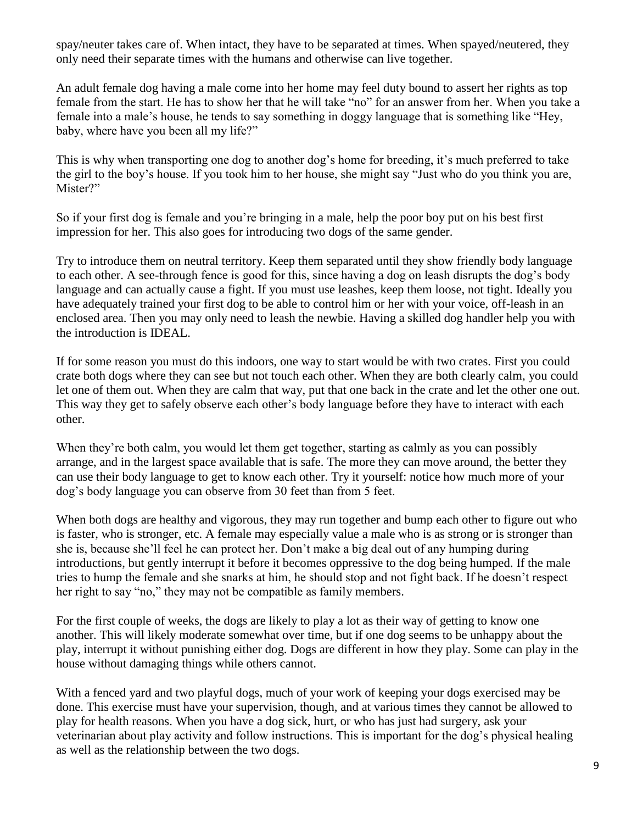spay/neuter takes care of. When intact, they have to be separated at times. When spayed/neutered, they only need their separate times with the humans and otherwise can live together.

An adult female dog having a male come into her home may feel duty bound to assert her rights as top female from the start. He has to show her that he will take "no" for an answer from her. When you take a female into a male's house, he tends to say something in doggy language that is something like "Hey, baby, where have you been all my life?"

This is why when transporting one dog to another dog's home for breeding, it's much preferred to take the girl to the boy's house. If you took him to her house, she might say "Just who do you think you are, Mister?"

So if your first dog is female and you're bringing in a male, help the poor boy put on his best first impression for her. This also goes for introducing two dogs of the same gender.

Try to introduce them on neutral territory. Keep them separated until they show friendly body language to each other. A see-through fence is good for this, since having a dog on leash disrupts the dog's body language and can actually cause a fight. If you must use leashes, keep them loose, not tight. Ideally you have adequately trained your first dog to be able to control him or her with your voice, off-leash in an enclosed area. Then you may only need to leash the newbie. Having a skilled dog handler help you with the introduction is IDEAL.

If for some reason you must do this indoors, one way to start would be with two crates. First you could crate both dogs where they can see but not touch each other. When they are both clearly calm, you could let one of them out. When they are calm that way, put that one back in the crate and let the other one out. This way they get to safely observe each other's body language before they have to interact with each other.

When they're both calm, you would let them get together, starting as calmly as you can possibly arrange, and in the largest space available that is safe. The more they can move around, the better they can use their body language to get to know each other. Try it yourself: notice how much more of your dog's body language you can observe from 30 feet than from 5 feet.

When both dogs are healthy and vigorous, they may run together and bump each other to figure out who is faster, who is stronger, etc. A female may especially value a male who is as strong or is stronger than she is, because she'll feel he can protect her. Don't make a big deal out of any humping during introductions, but gently interrupt it before it becomes oppressive to the dog being humped. If the male tries to hump the female and she snarks at him, he should stop and not fight back. If he doesn't respect her right to say "no," they may not be compatible as family members.

For the first couple of weeks, the dogs are likely to play a lot as their way of getting to know one another. This will likely moderate somewhat over time, but if one dog seems to be unhappy about the play, interrupt it without punishing either dog. Dogs are different in how they play. Some can play in the house without damaging things while others cannot.

With a fenced yard and two playful dogs, much of your work of keeping your dogs exercised may be done. This exercise must have your supervision, though, and at various times they cannot be allowed to play for health reasons. When you have a dog sick, hurt, or who has just had surgery, ask your veterinarian about play activity and follow instructions. This is important for the dog's physical healing as well as the relationship between the two dogs.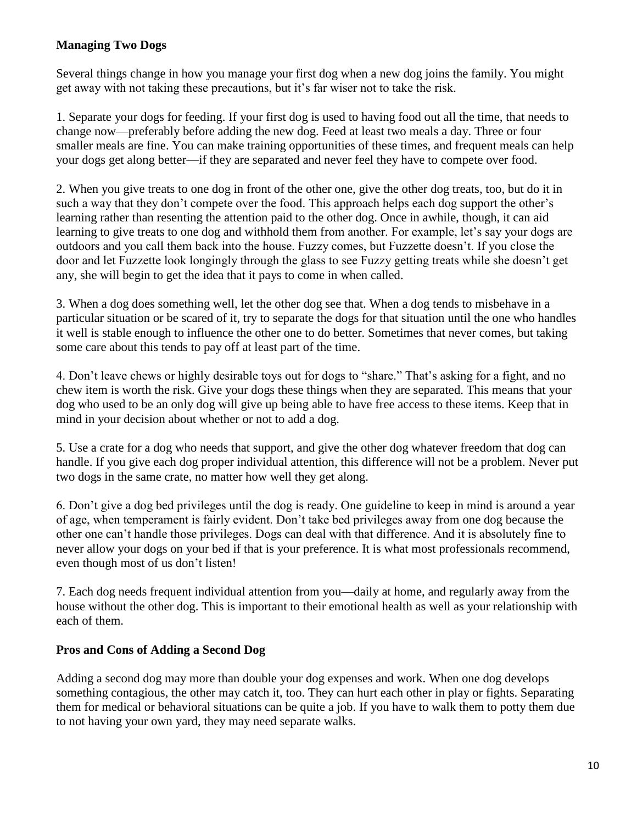# **Managing Two Dogs**

Several things change in how you manage your first dog when a new dog joins the family. You might get away with not taking these precautions, but it's far wiser not to take the risk.

1. Separate your dogs for feeding. If your first dog is used to having food out all the time, that needs to change now—preferably before adding the new dog. Feed at least two meals a day. Three or four smaller meals are fine. You can make training opportunities of these times, and frequent meals can help your dogs get along better—if they are separated and never feel they have to compete over food.

2. When you give treats to one dog in front of the other one, give the other dog treats, too, but do it in such a way that they don't compete over the food. This approach helps each dog support the other's learning rather than resenting the attention paid to the other dog. Once in awhile, though, it can aid learning to give treats to one dog and withhold them from another. For example, let's say your dogs are outdoors and you call them back into the house. Fuzzy comes, but Fuzzette doesn't. If you close the door and let Fuzzette look longingly through the glass to see Fuzzy getting treats while she doesn't get any, she will begin to get the idea that it pays to come in when called.

3. When a dog does something well, let the other dog see that. When a dog tends to misbehave in a particular situation or be scared of it, try to separate the dogs for that situation until the one who handles it well is stable enough to influence the other one to do better. Sometimes that never comes, but taking some care about this tends to pay off at least part of the time.

4. Don't leave chews or highly desirable toys out for dogs to "share." That's asking for a fight, and no chew item is worth the risk. Give your dogs these things when they are separated. This means that your dog who used to be an only dog will give up being able to have free access to these items. Keep that in mind in your decision about whether or not to add a dog.

5. Use a crate for a dog who needs that support, and give the other dog whatever freedom that dog can handle. If you give each dog proper individual attention, this difference will not be a problem. Never put two dogs in the same crate, no matter how well they get along.

6. Don't give a dog bed privileges until the dog is ready. One guideline to keep in mind is around a year of age, when temperament is fairly evident. Don't take bed privileges away from one dog because the other one can't handle those privileges. Dogs can deal with that difference. And it is absolutely fine to never allow your dogs on your bed if that is your preference. It is what most professionals recommend, even though most of us don't listen!

7. Each dog needs frequent individual attention from you—daily at home, and regularly away from the house without the other dog. This is important to their emotional health as well as your relationship with each of them.

# **Pros and Cons of Adding a Second Dog**

Adding a second dog may more than double your dog expenses and work. When one dog develops something contagious, the other may catch it, too. They can hurt each other in play or fights. Separating them for medical or behavioral situations can be quite a job. If you have to walk them to potty them due to not having your own yard, they may need separate walks.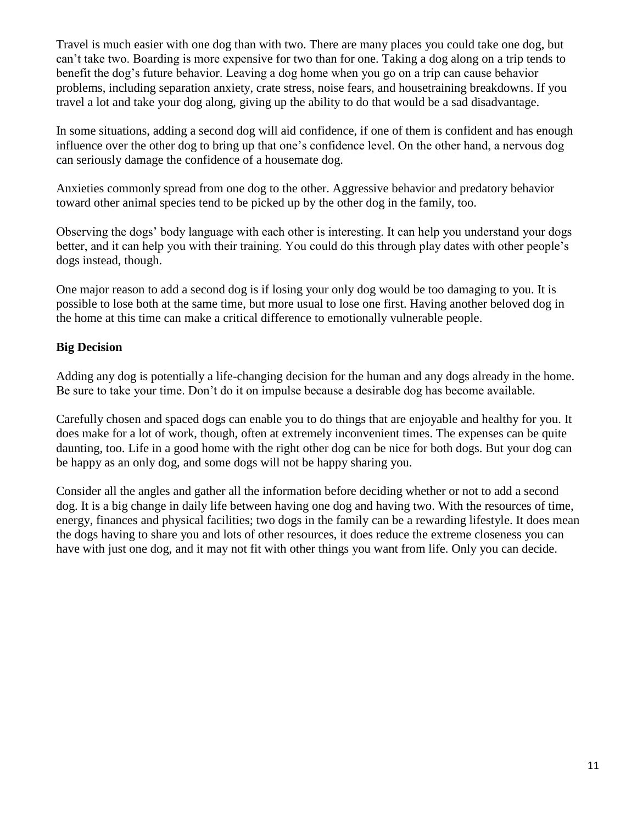Travel is much easier with one dog than with two. There are many places you could take one dog, but can't take two. Boarding is more expensive for two than for one. Taking a dog along on a trip tends to benefit the dog's future behavior. Leaving a dog home when you go on a trip can cause behavior problems, including separation anxiety, crate stress, noise fears, and housetraining breakdowns. If you travel a lot and take your dog along, giving up the ability to do that would be a sad disadvantage.

In some situations, adding a second dog will aid confidence, if one of them is confident and has enough influence over the other dog to bring up that one's confidence level. On the other hand, a nervous dog can seriously damage the confidence of a housemate dog.

Anxieties commonly spread from one dog to the other. Aggressive behavior and predatory behavior toward other animal species tend to be picked up by the other dog in the family, too.

Observing the dogs' body language with each other is interesting. It can help you understand your dogs better, and it can help you with their training. You could do this through play dates with other people's dogs instead, though.

One major reason to add a second dog is if losing your only dog would be too damaging to you. It is possible to lose both at the same time, but more usual to lose one first. Having another beloved dog in the home at this time can make a critical difference to emotionally vulnerable people.

# **Big Decision**

Adding any dog is potentially a life-changing decision for the human and any dogs already in the home. Be sure to take your time. Don't do it on impulse because a desirable dog has become available.

Carefully chosen and spaced dogs can enable you to do things that are enjoyable and healthy for you. It does make for a lot of work, though, often at extremely inconvenient times. The expenses can be quite daunting, too. Life in a good home with the right other dog can be nice for both dogs. But your dog can be happy as an only dog, and some dogs will not be happy sharing you.

Consider all the angles and gather all the information before deciding whether or not to add a second dog. It is a big change in daily life between having one dog and having two. With the resources of time, energy, finances and physical facilities; two dogs in the family can be a rewarding lifestyle. It does mean the dogs having to share you and lots of other resources, it does reduce the extreme closeness you can have with just one dog, and it may not fit with other things you want from life. Only you can decide.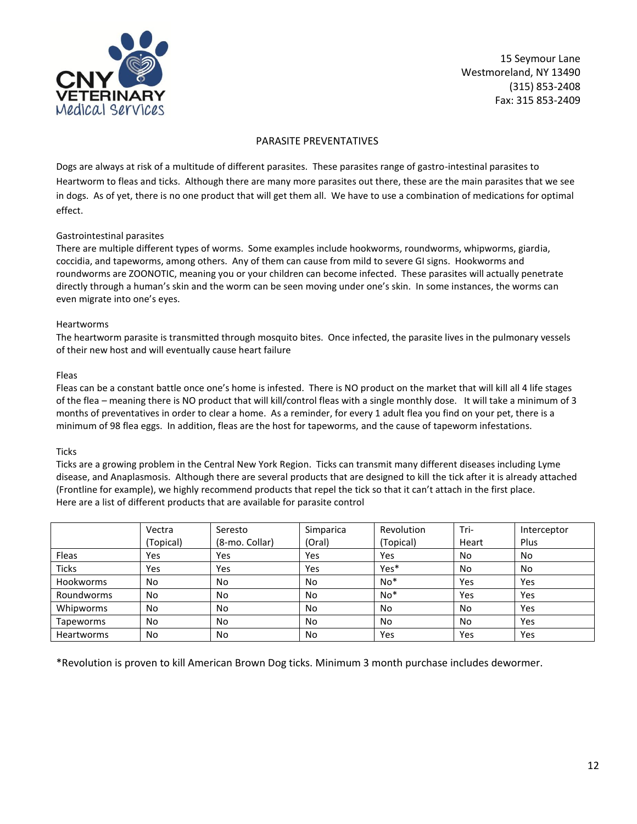

### PARASITE PREVENTATIVES

Dogs are always at risk of a multitude of different parasites. These parasites range of gastro-intestinal parasites to Heartworm to fleas and ticks. Although there are many more parasites out there, these are the main parasites that we see in dogs. As of yet, there is no one product that will get them all. We have to use a combination of medications for optimal effect.

### Gastrointestinal parasites

There are multiple different types of worms. Some examples include hookworms, roundworms, whipworms, giardia, coccidia, and tapeworms, among others. Any of them can cause from mild to severe GI signs. Hookworms and roundworms are ZOONOTIC, meaning you or your children can become infected. These parasites will actually penetrate directly through a human's skin and the worm can be seen moving under one's skin. In some instances, the worms can even migrate into one's eyes.

### Heartworms

The heartworm parasite is transmitted through mosquito bites. Once infected, the parasite lives in the pulmonary vessels of their new host and will eventually cause heart failure

#### Fleas

Fleas can be a constant battle once one's home is infested. There is NO product on the market that will kill all 4 life stages of the flea – meaning there is NO product that will kill/control fleas with a single monthly dose. It will take a minimum of 3 months of preventatives in order to clear a home. As a reminder, for every 1 adult flea you find on your pet, there is a minimum of 98 flea eggs. In addition, fleas are the host for tapeworms, and the cause of tapeworm infestations.

### **Ticks**

Ticks are a growing problem in the Central New York Region. Ticks can transmit many different diseases including Lyme disease, and Anaplasmosis. Although there are several products that are designed to kill the tick after it is already attached (Frontline for example), we highly recommend products that repel the tick so that it can't attach in the first place. Here are a list of different products that are available for parasite control

|                  | Vectra    | Seresto        | Simparica | Revolution | Tri-  | Interceptor |
|------------------|-----------|----------------|-----------|------------|-------|-------------|
|                  | (Topical) | (8-mo. Collar) | (Oral)    | (Topical)  | Heart | Plus        |
| Fleas            | Yes       | Yes            | Yes       | Yes        | No    | No.         |
| <b>Ticks</b>     | Yes       | Yes            | Yes       | Yes*       | No    | No          |
| <b>Hookworms</b> | No        | No.            | No        | $No*$      | Yes   | Yes         |
| Roundworms       | No        | No.            | <b>No</b> | $No*$      | Yes   | Yes         |
| Whipworms        | No        | No.            | No        | No         | No    | Yes         |
| Tapeworms        | No        | No.            | No        | No         | No    | Yes         |
| Heartworms       | No        | No.            | No        | Yes        | Yes   | Yes         |

\*Revolution is proven to kill American Brown Dog ticks. Minimum 3 month purchase includes dewormer.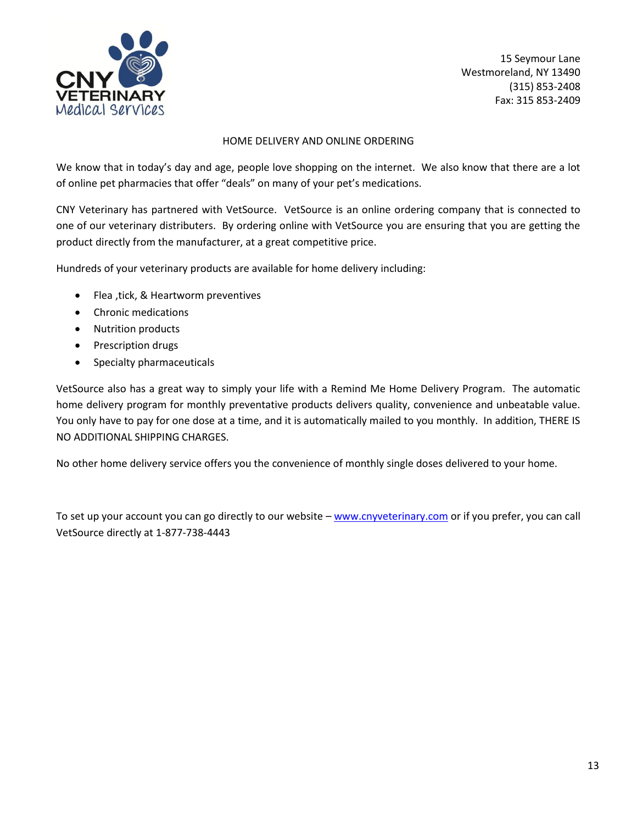

### HOME DELIVERY AND ONLINE ORDERING

We know that in today's day and age, people love shopping on the internet. We also know that there are a lot of online pet pharmacies that offer "deals" on many of your pet's medications.

CNY Veterinary has partnered with VetSource. VetSource is an online ordering company that is connected to one of our veterinary distributers. By ordering online with VetSource you are ensuring that you are getting the product directly from the manufacturer, at a great competitive price.

Hundreds of your veterinary products are available for home delivery including:

- Flea , tick, & Heartworm preventives
- Chronic medications
- Nutrition products
- Prescription drugs
- Specialty pharmaceuticals

VetSource also has a great way to simply your life with a Remind Me Home Delivery Program. The automatic home delivery program for monthly preventative products delivers quality, convenience and unbeatable value. You only have to pay for one dose at a time, and it is automatically mailed to you monthly. In addition, THERE IS NO ADDITIONAL SHIPPING CHARGES.

No other home delivery service offers you the convenience of monthly single doses delivered to your home.

To set up your account you can go directly to our website – [www.cnyveterinary.com](http://www.cnyveterinary.com/) or if you prefer, you can call VetSource directly at 1-877-738-4443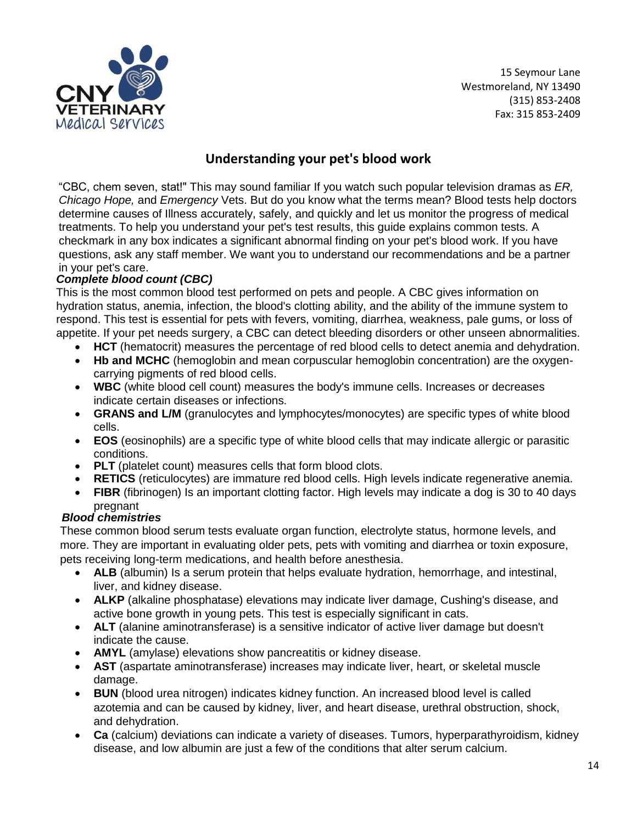

# **Understanding your pet's blood work**

"CBC, chem seven, stat!" This may sound familiar If you watch such popular television dramas as *ER, Chicago Hope,* and *Emergency* Vets. But do you know what the terms mean? Blood tests help doctors determine causes of Illness accurately, safely, and quickly and let us monitor the progress of medical treatments. To help you understand your pet's test results, this guide explains common tests. A checkmark in any box indicates a significant abnormal finding on your pet's blood work. If you have questions, ask any staff member. We want you to understand our recommendations and be a partner in your pet's care.

# *Complete blood count (CBC)*

This is the most common blood test performed on pets and people. A CBC gives information on hydration status, anemia, infection, the blood's clotting ability, and the ability of the immune system to respond. This test is essential for pets with fevers, vomiting, diarrhea, weakness, pale gums, or loss of appetite. If your pet needs surgery, a CBC can detect bleeding disorders or other unseen abnormalities.

- **HCT** (hematocrit) measures the percentage of red blood cells to detect anemia and dehydration.
- **Hb and MCHC** (hemoglobin and mean corpuscular hemoglobin concentration) are the oxygencarrying pigments of red blood cells.
- **WBC** (white blood cell count) measures the body's immune cells. Increases or decreases indicate certain diseases or infections.
- **GRANS and L/M** (granulocytes and lymphocytes/monocytes) are specific types of white blood cells.
- **EOS** (eosinophils) are a specific type of white blood cells that may indicate allergic or parasitic conditions.
- **PLT** (platelet count) measures cells that form blood clots.
- **RETICS** (reticulocytes) are immature red blood cells. High levels indicate regenerative anemia.
- **FIBR** (fibrinogen) Is an important clotting factor. High levels may indicate a dog is 30 to 40 days pregnant

### *Blood chemistries*

These common blood serum tests evaluate organ function, electrolyte status, hormone levels, and more. They are important in evaluating older pets, pets with vomiting and diarrhea or toxin exposure, pets receiving long-term medications, and health before anesthesia.

- **ALB** (albumin) Is a serum protein that helps evaluate hydration, hemorrhage, and intestinal, liver, and kidney disease.
- **ALKP** (alkaline phosphatase) elevations may indicate liver damage, Cushing's disease, and active bone growth in young pets. This test is especially significant in cats.
- **ALT** (alanine aminotransferase) is a sensitive indicator of active liver damage but doesn't indicate the cause.
- **AMYL** (amylase) elevations show pancreatitis or kidney disease.
- **AST** (aspartate aminotransferase) increases may indicate liver, heart, or skeletal muscle damage.
- **BUN** (blood urea nitrogen) indicates kidney function. An increased blood level is called azotemia and can be caused by kidney, liver, and heart disease, urethral obstruction, shock, and dehydration.
- **Ca** (calcium) deviations can indicate a variety of diseases. Tumors, hyperparathyroidism, kidney disease, and low albumin are just a few of the conditions that alter serum calcium.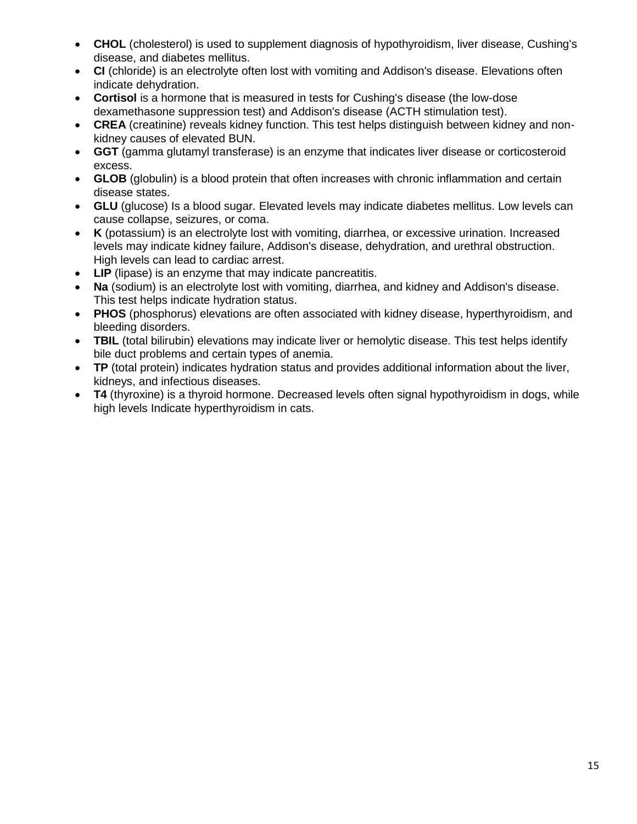- **CHOL** (cholesterol) is used to supplement diagnosis of hypothyroidism, liver disease, Cushing's disease, and diabetes mellitus.
- **CI** (chloride) is an electrolyte often lost with vomiting and Addison's disease. Elevations often indicate dehydration.
- **Cortisol** is a hormone that is measured in tests for Cushing's disease (the low-dose dexamethasone suppression test) and Addison's disease (ACTH stimulation test).
- **CREA** (creatinine) reveals kidney function. This test helps distinguish between kidney and nonkidney causes of elevated BUN.
- **GGT** (gamma glutamyl transferase) is an enzyme that indicates liver disease or corticosteroid excess.
- **GLOB** (globulin) is a blood protein that often increases with chronic inflammation and certain disease states.
- **GLU** (glucose) Is a blood sugar. Elevated levels may indicate diabetes mellitus. Low levels can cause collapse, seizures, or coma.
- **K** (potassium) is an electrolyte lost with vomiting, diarrhea, or excessive urination. Increased levels may indicate kidney failure, Addison's disease, dehydration, and urethral obstruction. High levels can lead to cardiac arrest.
- **LIP** (lipase) is an enzyme that may indicate pancreatitis.
- **Na** (sodium) is an electrolyte lost with vomiting, diarrhea, and kidney and Addison's disease. This test helps indicate hydration status.
- **PHOS** (phosphorus) elevations are often associated with kidney disease, hyperthyroidism, and bleeding disorders.
- **TBIL** (total bilirubin) elevations may indicate liver or hemolytic disease. This test helps identify bile duct problems and certain types of anemia.
- **TP** (total protein) indicates hydration status and provides additional information about the liver, kidneys, and infectious diseases.
- **T4** (thyroxine) is a thyroid hormone. Decreased levels often signal hypothyroidism in dogs, while high levels Indicate hyperthyroidism in cats.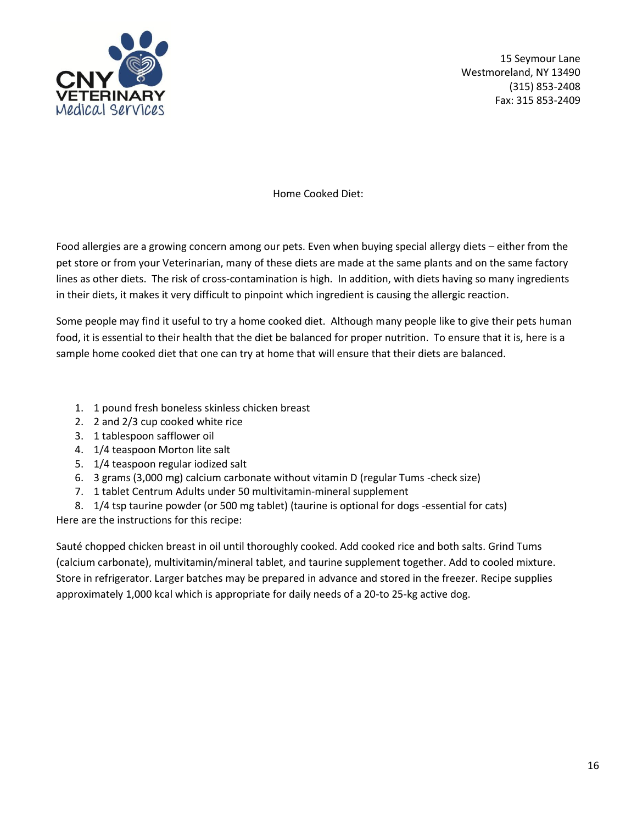

Home Cooked Diet:

Food allergies are a growing concern among our pets. Even when buying special allergy diets – either from the pet store or from your Veterinarian, many of these diets are made at the same plants and on the same factory lines as other diets. The risk of cross-contamination is high. In addition, with diets having so many ingredients in their diets, it makes it very difficult to pinpoint which ingredient is causing the allergic reaction.

Some people may find it useful to try a home cooked diet. Although many people like to give their pets human food, it is essential to their health that the diet be balanced for proper nutrition. To ensure that it is, here is a sample home cooked diet that one can try at home that will ensure that their diets are balanced.

- 1. 1 pound fresh boneless skinless chicken breast
- 2. 2 and 2/3 cup cooked white rice
- 3. 1 tablespoon safflower oil
- 4. 1/4 teaspoon Morton lite salt
- 5. 1/4 teaspoon regular iodized salt
- 6. 3 grams (3,000 mg) calcium carbonate without vitamin D (regular Tums -check size)
- 7. 1 tablet Centrum Adults under 50 multivitamin-mineral supplement

8. 1/4 tsp taurine powder (or 500 mg tablet) (taurine is optional for dogs -essential for cats) Here are the instructions for this recipe:

Sauté chopped chicken breast in oil until thoroughly cooked. Add cooked rice and both salts. Grind Tums (calcium carbonate), multivitamin/mineral tablet, and taurine supplement together. Add to cooled mixture. Store in refrigerator. Larger batches may be prepared in advance and stored in the freezer. Recipe supplies approximately 1,000 kcal which is appropriate for daily needs of a 20-to 25-kg active dog.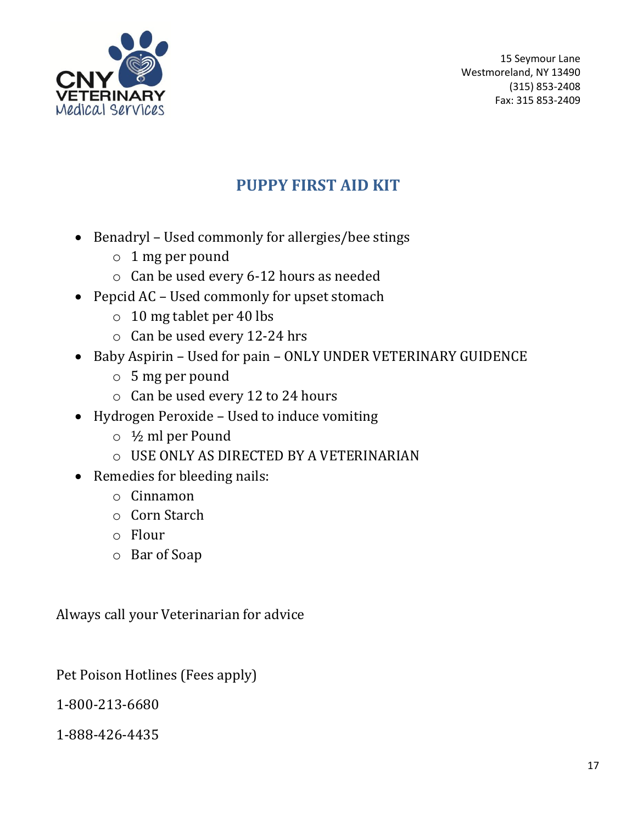

# **PUPPY FIRST AID KIT**

- Benadryl Used commonly for allergies/bee stings
	- o 1 mg per pound
	- o Can be used every 6-12 hours as needed
- Pepcid AC Used commonly for upset stomach
	- o 10 mg tablet per 40 lbs
	- o Can be used every 12-24 hrs
- Baby Aspirin Used for pain ONLY UNDER VETERINARY GUIDENCE
	- o 5 mg per pound
	- o Can be used every 12 to 24 hours
- Hydrogen Peroxide Used to induce vomiting
	- o ½ ml per Pound
	- o USE ONLY AS DIRECTED BY A VETERINARIAN
- Remedies for bleeding nails:
	- o Cinnamon
	- o Corn Starch
	- o Flour
	- o Bar of Soap

Always call your Veterinarian for advice

Pet Poison Hotlines (Fees apply)

1-800-213-6680

1-888-426-4435